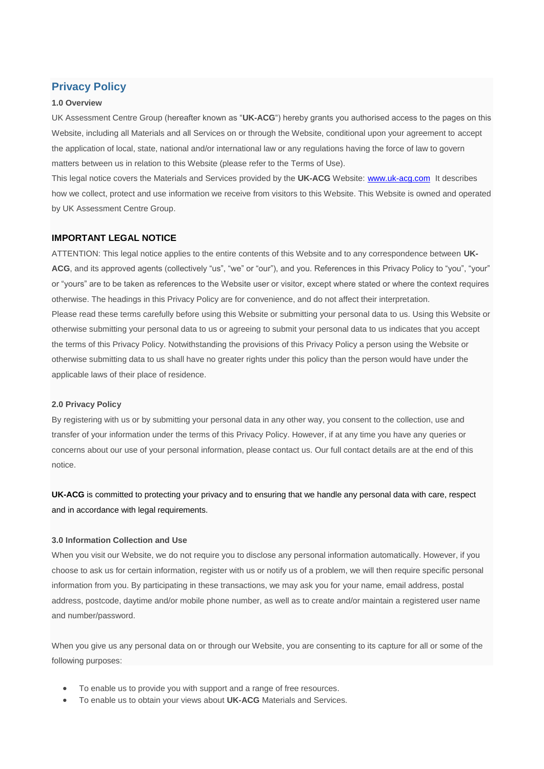# **Privacy Policy**

## **1.0 Overview**

UK Assessment Centre Group (hereafter known as "**UK-ACG**") hereby grants you authorised access to the pages on this Website, including all Materials and all Services on or through the Website, conditional upon your agreement to accept the application of local, state, national and/or international law or any regulations having the force of law to govern matters between us in relation to this Website (please refer to the Terms of Use).

This legal notice covers the Materials and Services provided by the **UK-ACG** Website: [www.uk-acg.com](http://www.uk-acg.com/) It describes how we collect, protect and use information we receive from visitors to this Website. This Website is owned and operated by UK Assessment Centre Group.

# **IMPORTANT LEGAL NOTICE**

ATTENTION: This legal notice applies to the entire contents of this Website and to any correspondence between **UK-**ACG, and its approved agents (collectively "us", "we" or "our"), and you. References in this Privacy Policy to "you", "your" or "yours" are to be taken as references to the Website user or visitor, except where stated or where the context requires otherwise. The headings in this Privacy Policy are for convenience, and do not affect their interpretation. Please read these terms carefully before using this Website or submitting your personal data to us. Using this Website or otherwise submitting your personal data to us or agreeing to submit your personal data to us indicates that you accept the terms of this Privacy Policy. Notwithstanding the provisions of this Privacy Policy a person using the Website or otherwise submitting data to us shall have no greater rights under this policy than the person would have under the applicable laws of their place of residence.

### **2.0 Privacy Policy**

By registering with us or by submitting your personal data in any other way, you consent to the collection, use and transfer of your information under the terms of this Privacy Policy. However, if at any time you have any queries or concerns about our use of your personal information, please contact us. Our full contact details are at the end of this notice.

**UK-ACG** is committed to protecting your privacy and to ensuring that we handle any personal data with care, respect and in accordance with legal requirements.

#### **3.0 Information Collection and Use**

When you visit our Website, we do not require you to disclose any personal information automatically. However, if you choose to ask us for certain information, register with us or notify us of a problem, we will then require specific personal information from you. By participating in these transactions, we may ask you for your name, email address, postal address, postcode, daytime and/or mobile phone number, as well as to create and/or maintain a registered user name and number/password.

When you give us any personal data on or through our Website, you are consenting to its capture for all or some of the following purposes:

- To enable us to provide you with support and a range of free resources.
- To enable us to obtain your views about **UK-ACG** Materials and Services.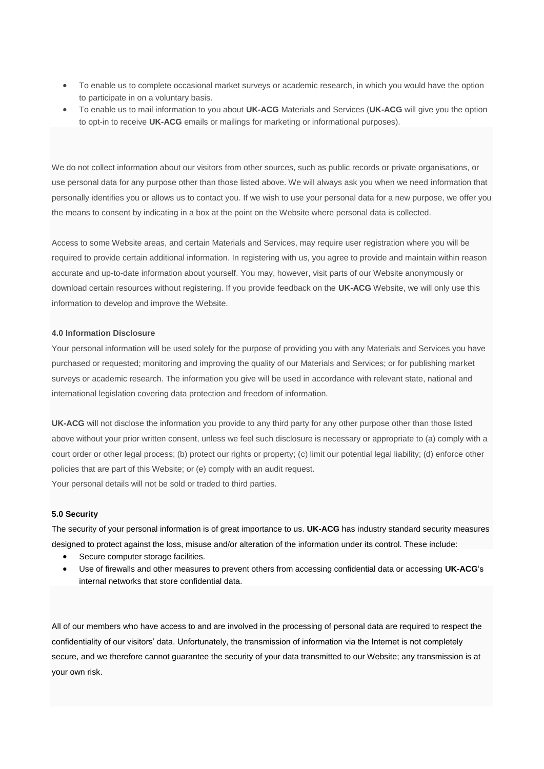- To enable us to complete occasional market surveys or academic research, in which you would have the option to participate in on a voluntary basis.
- To enable us to mail information to you about **UK-ACG** Materials and Services (**UK-ACG** will give you the option to opt-in to receive **UK-ACG** emails or mailings for marketing or informational purposes).

We do not collect information about our visitors from other sources, such as public records or private organisations, or use personal data for any purpose other than those listed above. We will always ask you when we need information that personally identifies you or allows us to contact you. If we wish to use your personal data for a new purpose, we offer you the means to consent by indicating in a box at the point on the Website where personal data is collected.

Access to some Website areas, and certain Materials and Services, may require user registration where you will be required to provide certain additional information. In registering with us, you agree to provide and maintain within reason accurate and up-to-date information about yourself. You may, however, visit parts of our Website anonymously or download certain resources without registering. If you provide feedback on the **UK-ACG** Website, we will only use this information to develop and improve the Website.

## **4.0 Information Disclosure**

Your personal information will be used solely for the purpose of providing you with any Materials and Services you have purchased or requested; monitoring and improving the quality of our Materials and Services; or for publishing market surveys or academic research. The information you give will be used in accordance with relevant state, national and international legislation covering data protection and freedom of information.

**UK-ACG** will not disclose the information you provide to any third party for any other purpose other than those listed above without your prior written consent, unless we feel such disclosure is necessary or appropriate to (a) comply with a court order or other legal process; (b) protect our rights or property; (c) limit our potential legal liability; (d) enforce other policies that are part of this Website; or (e) comply with an audit request.

Your personal details will not be sold or traded to third parties.

## **5.0 Security**

The security of your personal information is of great importance to us. **UK-ACG** has industry standard security measures designed to protect against the loss, misuse and/or alteration of the information under its control. These include:

- Secure computer storage facilities.
- Use of firewalls and other measures to prevent others from accessing confidential data or accessing **UK-ACG**'s internal networks that store confidential data.

All of our members who have access to and are involved in the processing of personal data are required to respect the confidentiality of our visitors' data. Unfortunately, the transmission of information via the Internet is not completely secure, and we therefore cannot guarantee the security of your data transmitted to our Website; any transmission is at your own risk.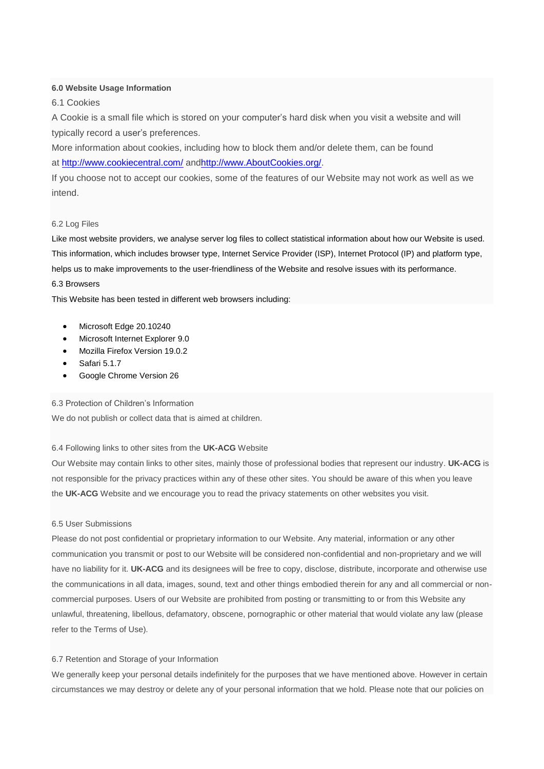# **6.0 Website Usage Information**

6.1 Cookies

A Cookie is a small file which is stored on your computer's hard disk when you visit a website and will typically record a user's preferences.

More information about cookies, including how to block them and/or delete them, can be found at <http://www.cookiecentral.com/> an[dhttp://www.AboutCookies.org/.](http://www.aboutcookies.org/)

If you choose not to accept our cookies, some of the features of our Website may not work as well as we intend.

# 6.2 Log Files

Like most website providers, we analyse server log files to collect statistical information about how our Website is used. This information, which includes browser type, Internet Service Provider (ISP), Internet Protocol (IP) and platform type, helps us to make improvements to the user-friendliness of the Website and resolve issues with its performance.

# 6.3 Browsers

This Website has been tested in different web browsers including:

- Microsoft Edge 20.10240
- Microsoft Internet Explorer 9.0
- Mozilla Firefox Version 19.0.2
- Safari 5.1.7
- Google Chrome Version 26

6.3 Protection of Children's Information

We do not publish or collect data that is aimed at children.

## 6.4 Following links to other sites from the **UK-ACG** Website

Our Website may contain links to other sites, mainly those of professional bodies that represent our industry. **UK-ACG** is not responsible for the privacy practices within any of these other sites. You should be aware of this when you leave the **UK-ACG** Website and we encourage you to read the privacy statements on other websites you visit.

# 6.5 User Submissions

Please do not post confidential or proprietary information to our Website. Any material, information or any other communication you transmit or post to our Website will be considered non-confidential and non-proprietary and we will have no liability for it. **UK-ACG** and its designees will be free to copy, disclose, distribute, incorporate and otherwise use the communications in all data, images, sound, text and other things embodied therein for any and all commercial or noncommercial purposes. Users of our Website are prohibited from posting or transmitting to or from this Website any unlawful, threatening, libellous, defamatory, obscene, pornographic or other material that would violate any law (please refer to the Terms of Use).

#### 6.7 Retention and Storage of your Information

We generally keep your personal details indefinitely for the purposes that we have mentioned above. However in certain circumstances we may destroy or delete any of your personal information that we hold. Please note that our policies on